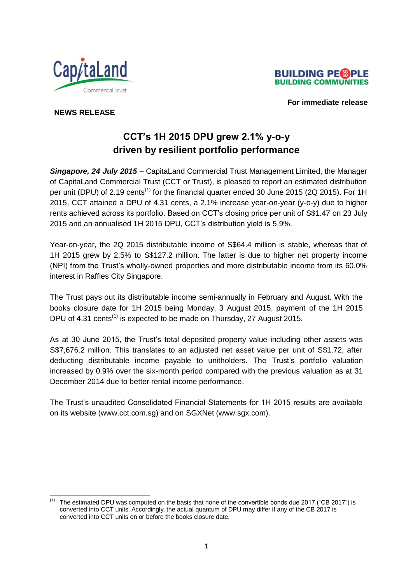



 **For immediate release**

## **NEWS RELEASE**

1

# **CCT's 1H 2015 DPU grew 2.1% y-o-y driven by resilient portfolio performance**

*Singapore, 24 July 2015* – CapitaLand Commercial Trust Management Limited, the Manager of CapitaLand Commercial Trust (CCT or Trust), is pleased to report an estimated distribution per unit (DPU) of 2.19 cents<sup>(1)</sup> for the financial quarter ended 30 June 2015 (2Q 2015). For 1H 2015, CCT attained a DPU of 4.31 cents, a 2.1% increase year-on-year (y-o-y) due to higher rents achieved across its portfolio. Based on CCT's closing price per unit of S\$1.47 on 23 July 2015 and an annualised 1H 2015 DPU, CCT's distribution yield is 5.9%.

Year-on-year, the 2Q 2015 distributable income of S\$64.4 million is stable, whereas that of 1H 2015 grew by 2.5% to S\$127.2 million. The latter is due to higher net property income (NPI) from the Trust's wholly-owned properties and more distributable income from its 60.0% interest in Raffles City Singapore.

The Trust pays out its distributable income semi-annually in February and August. With the books closure date for 1H 2015 being Monday, 3 August 2015, payment of the 1H 2015 DPU of 4.31 cents<sup>(1)</sup> is expected to be made on Thursday, 27 August 2015.

As at 30 June 2015, the Trust's total deposited property value including other assets was S\$7,676.2 million. This translates to an adjusted net asset value per unit of S\$1.72, after deducting distributable income payable to unitholders. The Trust's portfolio valuation increased by 0.9% over the six-month period compared with the previous valuation as at 31 December 2014 due to better rental income performance.

The Trust's unaudited Consolidated Financial Statements for 1H 2015 results are available on its website (www.cct.com.sg) and on SGXNet (www.sgx.com).

<sup>&</sup>lt;sup>(1)</sup> The estimated DPU was computed on the basis that none of the convertible bonds due 2017 ("CB 2017") is converted into CCT units. Accordingly, the actual quantum of DPU may differ if any of the CB 2017 is converted into CCT units on or before the books closure date.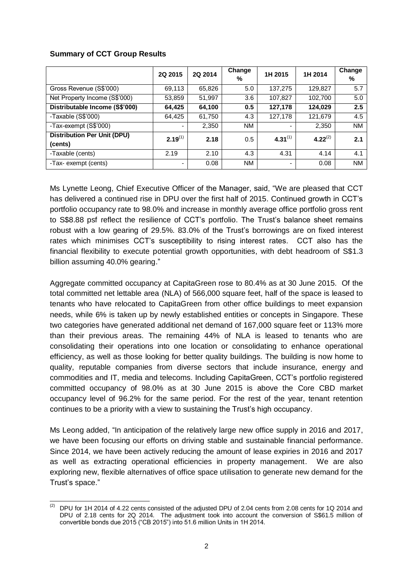# **Summary of CCT Group Results**

|                                    | 2Q 2015      | 2Q 2014 | Change<br>% | 1H 2015      | 1H 2014       | Change<br>% |
|------------------------------------|--------------|---------|-------------|--------------|---------------|-------------|
| Gross Revenue (S\$'000)            | 69,113       | 65,826  | 5.0         | 137,275      | 129,827       | 5.7         |
| Net Property Income (S\$'000)      | 53,859       | 51,997  | 3.6         | 107,827      | 102,700       | 5.0         |
| Distributable Income (S\$'000)     | 64,425       | 64,100  | 0.5         | 127,178      | 124,029       | 2.5         |
| -Taxable (S\$'000)                 | 64,425       | 61,750  | 4.3         | 127,178      | 121,679       | 4.5         |
| -Tax-exempt (S\$'000)              |              | 2,350   | <b>NM</b>   |              | 2,350         | <b>NM</b>   |
| <b>Distribution Per Unit (DPU)</b> | $2.19^{(1)}$ | 2.18    | 0.5         | $4.31^{(1)}$ | 4.22 $^{(2)}$ | 2.1         |
| (cents)                            |              |         |             |              |               |             |
| -Taxable (cents)                   | 2.19         | 2.10    | 4.3         | 4.31         | 4.14          | 4.1         |
| -Tax- exempt (cents)               |              | 0.08    | <b>NM</b>   | -            | 0.08          | <b>NM</b>   |

Ms Lynette Leong, Chief Executive Officer of the Manager, said, "We are pleased that CCT has delivered a continued rise in DPU over the first half of 2015. Continued growth in CCT's portfolio occupancy rate to 98.0% and increase in monthly average office portfolio gross rent to S\$8.88 psf reflect the resilience of CCT's portfolio. The Trust's balance sheet remains robust with a low gearing of 29.5%. 83.0% of the Trust's borrowings are on fixed interest rates which minimises CCT's susceptibility to rising interest rates. CCT also has the financial flexibility to execute potential growth opportunities, with debt headroom of S\$1.3 billion assuming 40.0% gearing."

Aggregate committed occupancy at CapitaGreen rose to 80.4% as at 30 June 2015. Of the total committed net lettable area (NLA) of 566,000 square feet, half of the space is leased to tenants who have relocated to CapitaGreen from other office buildings to meet expansion needs, while 6% is taken up by newly established entities or concepts in Singapore. These two categories have generated additional net demand of 167,000 square feet or 113% more than their previous areas. The remaining 44% of NLA is leased to tenants who are consolidating their operations into one location or consolidating to enhance operational efficiency, as well as those looking for better quality buildings. The building is now home to quality, reputable companies from diverse sectors that include insurance, energy and commodities and IT, media and telecoms. Including CapitaGreen, CCT's portfolio registered committed occupancy of 98.0% as at 30 June 2015 is above the Core CBD market occupancy level of 96.2% for the same period. For the rest of the year, tenant retention continues to be a priority with a view to sustaining the Trust's high occupancy.

Ms Leong added, "In anticipation of the relatively large new office supply in 2016 and 2017, we have been focusing our efforts on driving stable and sustainable financial performance. Since 2014, we have been actively reducing the amount of lease expiries in 2016 and 2017 as well as extracting operational efficiencies in property management. We are also exploring new, flexible alternatives of office space utilisation to generate new demand for the Trust's space."

<sup>-</sup> $(2)$  DPU for 1H 2014 of 4.22 cents consisted of the adjusted DPU of 2.04 cents from 2.08 cents for 1Q 2014 and DPU of 2.18 cents for 2Q 2014. The adjustment took into account the conversion of S\$61.5 million of convertible bonds due 2015 ("CB 2015") into 51.6 million Units in 1H 2014.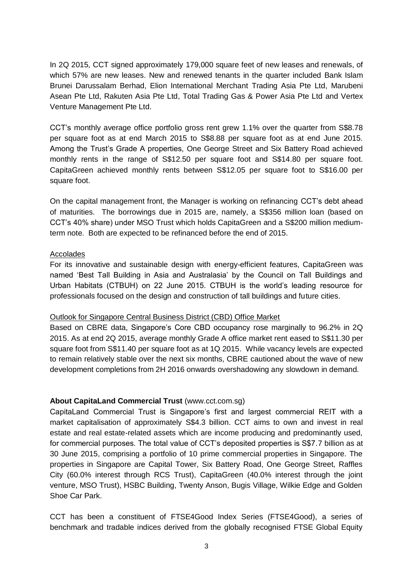In 2Q 2015, CCT signed approximately 179,000 square feet of new leases and renewals, of which 57% are new leases. New and renewed tenants in the quarter included Bank Islam Brunei Darussalam Berhad, Elion International Merchant Trading Asia Pte Ltd, Marubeni Asean Pte Ltd, Rakuten Asia Pte Ltd, Total Trading Gas & Power Asia Pte Ltd and Vertex Venture Management Pte Ltd.

CCT's monthly average office portfolio gross rent grew 1.1% over the quarter from S\$8.78 per square foot as at end March 2015 to S\$8.88 per square foot as at end June 2015. Among the Trust's Grade A properties, One George Street and Six Battery Road achieved monthly rents in the range of S\$12.50 per square foot and S\$14.80 per square foot. CapitaGreen achieved monthly rents between S\$12.05 per square foot to S\$16.00 per square foot.

On the capital management front, the Manager is working on refinancing CCT's debt ahead of maturities. The borrowings due in 2015 are, namely, a S\$356 million loan (based on CCT's 40% share) under MSO Trust which holds CapitaGreen and a S\$200 million mediumterm note. Both are expected to be refinanced before the end of 2015.

### Accolades

For its innovative and sustainable design with energy-efficient features, CapitaGreen was named 'Best Tall Building in Asia and Australasia' by the Council on Tall Buildings and Urban Habitats (CTBUH) on 22 June 2015. CTBUH is the world's leading resource for professionals focused on the design and construction of tall buildings and future cities.

### Outlook for Singapore Central Business District (CBD) Office Market

Based on CBRE data, Singapore's Core CBD occupancy rose marginally to 96.2% in 2Q 2015. As at end 2Q 2015, average monthly Grade A office market rent eased to S\$11.30 per square foot from S\$11.40 per square foot as at 1Q 2015. While vacancy levels are expected to remain relatively stable over the next six months, CBRE cautioned about the wave of new development completions from 2H 2016 onwards overshadowing any slowdown in demand.

# **About CapitaLand Commercial Trust** (www.cct.com.sg)

CapitaLand Commercial Trust is Singapore's first and largest commercial REIT with a market capitalisation of approximately S\$4.3 billion. CCT aims to own and invest in real estate and real estate-related assets which are income producing and predominantly used, for commercial purposes. The total value of CCT's deposited properties is S\$7.7 billion as at 30 June 2015, comprising a portfolio of 10 prime commercial properties in Singapore. The properties in Singapore are Capital Tower, Six Battery Road, One George Street, Raffles City (60.0% interest through RCS Trust), CapitaGreen (40.0% interest through the joint venture, MSO Trust), HSBC Building, Twenty Anson, Bugis Village, Wilkie Edge and Golden Shoe Car Park.

CCT has been a constituent of FTSE4Good Index Series (FTSE4Good), a series of benchmark and tradable indices derived from the globally recognised FTSE Global Equity